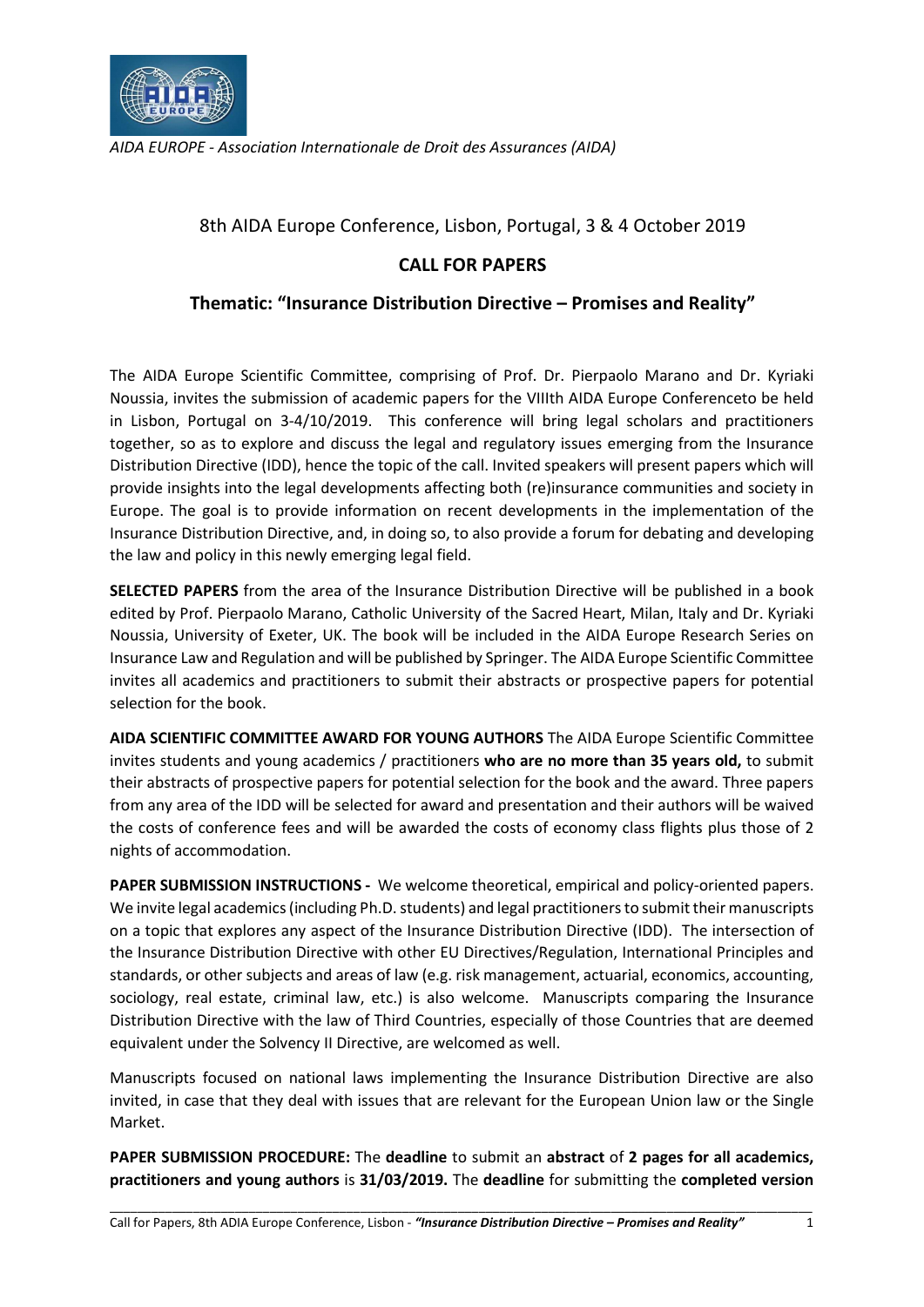

AIDA EUROPE - Association Internationale de Droit des Assurances (AIDA)

8th AIDA Europe Conference, Lisbon, Portugal, 3 & 4 October 2019

## CALL FOR PAPERS

## Thematic: "Insurance Distribution Directive – Promises and Reality"

The AIDA Europe Scientific Committee, comprising of Prof. Dr. Pierpaolo Marano and Dr. Kyriaki Noussia, invites the submission of academic papers for the VIIIth AIDA Europe Conferenceto be held in Lisbon, Portugal on 3-4/10/2019. This conference will bring legal scholars and practitioners together, so as to explore and discuss the legal and regulatory issues emerging from the Insurance Distribution Directive (IDD), hence the topic of the call. Invited speakers will present papers which will provide insights into the legal developments affecting both (re)insurance communities and society in Europe. The goal is to provide information on recent developments in the implementation of the Insurance Distribution Directive, and, in doing so, to also provide a forum for debating and developing the law and policy in this newly emerging legal field.

SELECTED PAPERS from the area of the Insurance Distribution Directive will be published in a book edited by Prof. Pierpaolo Marano, Catholic University of the Sacred Heart, Milan, Italy and Dr. Kyriaki Noussia, University of Exeter, UK. The book will be included in the AIDA Europe Research Series on Insurance Law and Regulation and will be published by Springer. The AIDA Europe Scientific Committee invites all academics and practitioners to submit their abstracts or prospective papers for potential selection for the book.

AIDA SCIENTIFIC COMMITTEE AWARD FOR YOUNG AUTHORS The AIDA Europe Scientific Committee invites students and young academics / practitioners who are no more than 35 years old, to submit their abstracts of prospective papers for potential selection for the book and the award. Three papers from any area of the IDD will be selected for award and presentation and their authors will be waived the costs of conference fees and will be awarded the costs of economy class flights plus those of 2 nights of accommodation.

PAPER SUBMISSION INSTRUCTIONS - We welcome theoretical, empirical and policy-oriented papers. We invite legal academics (including Ph.D. students) and legal practitioners to submit their manuscripts on a topic that explores any aspect of the Insurance Distribution Directive (IDD). The intersection of the Insurance Distribution Directive with other EU Directives/Regulation, International Principles and standards, or other subjects and areas of law (e.g. risk management, actuarial, economics, accounting, sociology, real estate, criminal law, etc.) is also welcome. Manuscripts comparing the Insurance Distribution Directive with the law of Third Countries, especially of those Countries that are deemed equivalent under the Solvency II Directive, are welcomed as well.

Manuscripts focused on national laws implementing the Insurance Distribution Directive are also invited, in case that they deal with issues that are relevant for the European Union law or the Single Market.

PAPER SUBMISSION PROCEDURE: The deadline to submit an abstract of 2 pages for all academics, practitioners and young authors is 31/03/2019. The deadline for submitting the completed version

\_\_\_\_\_\_\_\_\_\_\_\_\_\_\_\_\_\_\_\_\_\_\_\_\_\_\_\_\_\_\_\_\_\_\_\_\_\_\_\_\_\_\_\_\_\_\_\_\_\_\_\_\_\_\_\_\_\_\_\_\_\_\_\_\_\_\_\_\_\_\_\_\_\_\_\_\_\_\_\_\_\_\_\_\_\_\_\_\_\_\_\_\_\_\_\_\_\_\_\_\_